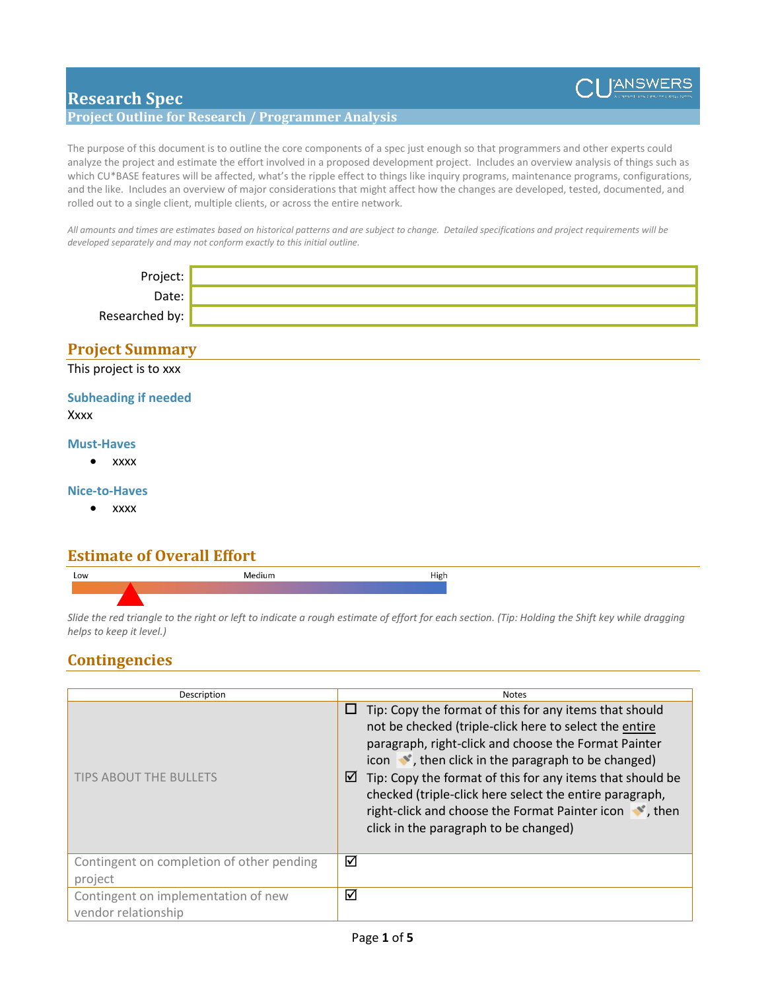

# **Research Spec**

### **Project Outline for Research / Programmer Analysis**

The purpose of this document is to outline the core components of a spec just enough so that programmers and other experts could analyze the project and estimate the effort involved in a proposed development project. Includes an overview analysis of things such as which CU\*BASE features will be affected, what's the ripple effect to things like inquiry programs, maintenance programs, configurations, and the like. Includes an overview of major considerations that might affect how the changes are developed, tested, documented, and rolled out to a single client, multiple clients, or across the entire network.

*All amounts and times are estimates based on historical patterns and are subject to change. Detailed specifications and project requirements will be developed separately and may not conform exactly to this initial outline.*

| Project:          |  |
|-------------------|--|
| $\omega$ ate: $'$ |  |
| Researched by:    |  |

### **Project Summary**

This project is to xxx

### **Subheading if needed** Xxxx

# **Must-Haves**

• xxxx

### **Nice-to-Haves**

• xxxx

### **Estimate of Overall Effort**



*Slide the red triangle to the right or left to indicate a rough estimate of effort for each section. (Tip: Holding the Shift key while dragging helps to keep it level.)*

### **Contingencies**

| Description                                                | <b>Notes</b>                                                                                                                                                                                                                                                                                                                                                                                                                                                                 |
|------------------------------------------------------------|------------------------------------------------------------------------------------------------------------------------------------------------------------------------------------------------------------------------------------------------------------------------------------------------------------------------------------------------------------------------------------------------------------------------------------------------------------------------------|
| <b>TIPS ABOUT THE BULLETS</b>                              | Tip: Copy the format of this for any items that should<br>⊔<br>not be checked (triple-click here to select the entire<br>paragraph, right-click and choose the Format Painter<br>icon $\bullet$ , then click in the paragraph to be changed)<br>Tip: Copy the format of this for any items that should be<br>☑<br>checked (triple-click here select the entire paragraph,<br>right-click and choose the Format Painter icon \, then<br>click in the paragraph to be changed) |
| Contingent on completion of other pending<br>project       | ☑                                                                                                                                                                                                                                                                                                                                                                                                                                                                            |
| Contingent on implementation of new<br>vendor relationship | ☑                                                                                                                                                                                                                                                                                                                                                                                                                                                                            |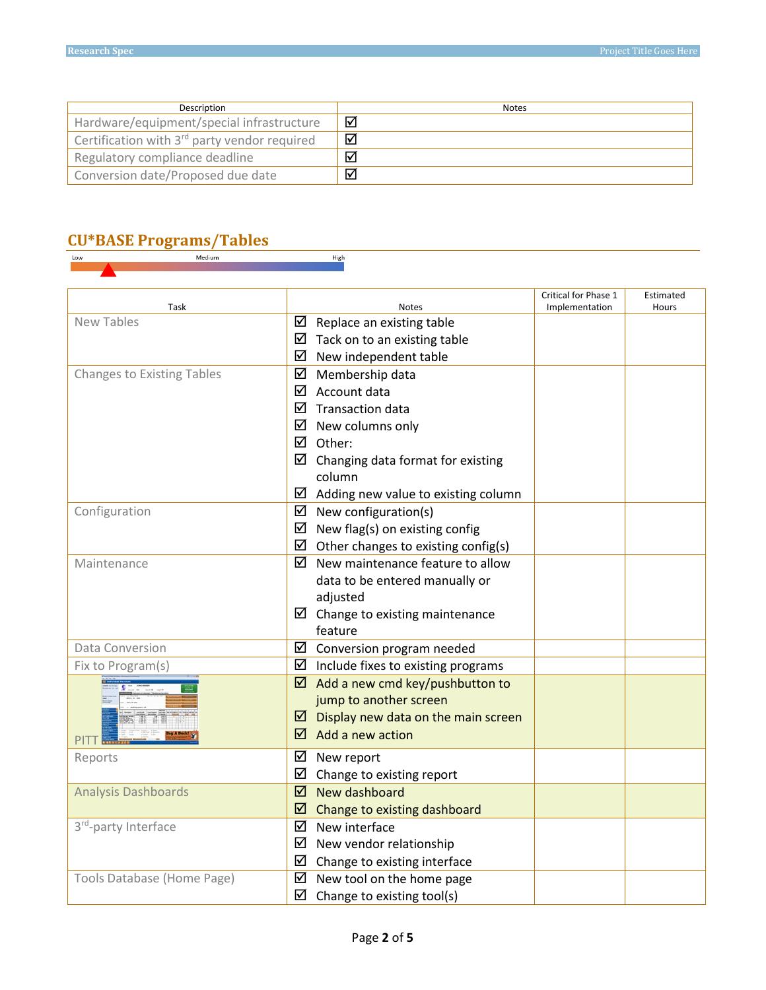| Description                                              | <b>Notes</b> |
|----------------------------------------------------------|--------------|
| Hardware/equipment/special infrastructure                | ☑            |
| Certification with 3 <sup>rd</sup> party vendor required | ☑            |
| Regulatory compliance deadline                           | ا⊽ا          |
| Conversion date/Proposed due date                        | ا⊽ا          |

High

# **CU\*BASE Programs/Tables**

| Task                              | <b>Notes</b>                               | Critical for Phase 1<br>Implementation | Estimated<br>Hours |
|-----------------------------------|--------------------------------------------|----------------------------------------|--------------------|
| New Tables                        | $\boxtimes$ Replace an existing table      |                                        |                    |
|                                   | ☑<br>Tack on to an existing table          |                                        |                    |
|                                   | ☑<br>New independent table                 |                                        |                    |
| <b>Changes to Existing Tables</b> | ☑<br>Membership data                       |                                        |                    |
|                                   | ☑<br>Account data                          |                                        |                    |
|                                   | <b>Transaction data</b><br>☑               |                                        |                    |
|                                   | ☑<br>New columns only                      |                                        |                    |
|                                   | ⋈<br>Other:                                |                                        |                    |
|                                   | ☑<br>Changing data format for existing     |                                        |                    |
|                                   | column                                     |                                        |                    |
|                                   | Adding new value to existing column<br>⊻   |                                        |                    |
| Configuration                     | $\boxtimes$ New configuration(s)           |                                        |                    |
|                                   | New flag(s) on existing config<br>☑        |                                        |                    |
|                                   | ☑<br>Other changes to existing config(s)   |                                        |                    |
| Maintenance                       | New maintenance feature to allow<br>☑      |                                        |                    |
|                                   | data to be entered manually or             |                                        |                    |
|                                   | adjusted                                   |                                        |                    |
|                                   | $\boxtimes$ Change to existing maintenance |                                        |                    |
|                                   | feature                                    |                                        |                    |
| Data Conversion                   | $\boxtimes$ Conversion program needed      |                                        |                    |
| Fix to Program(s)                 | ☑<br>Include fixes to existing programs    |                                        |                    |
|                                   | Add a new cmd key/pushbutton to<br>☑       |                                        |                    |
|                                   | jump to another screen                     |                                        |                    |
|                                   | ☑<br>Display new data on the main screen   |                                        |                    |
| PITT <sup>H</sup>                 | Add a new action<br>☑                      |                                        |                    |
| Reports                           | ☑<br>New report                            |                                        |                    |
|                                   | ☑<br>Change to existing report             |                                        |                    |
| <b>Analysis Dashboards</b>        | New dashboard<br>☑                         |                                        |                    |
|                                   | ☑<br>Change to existing dashboard          |                                        |                    |
| 3rd-party Interface               | ☑<br>New interface                         |                                        |                    |
|                                   | ☑<br>New vendor relationship               |                                        |                    |
|                                   | ☑<br>Change to existing interface          |                                        |                    |
| Tools Database (Home Page)        | ☑<br>New tool on the home page             |                                        |                    |
|                                   | ☑<br>Change to existing tool(s)            |                                        |                    |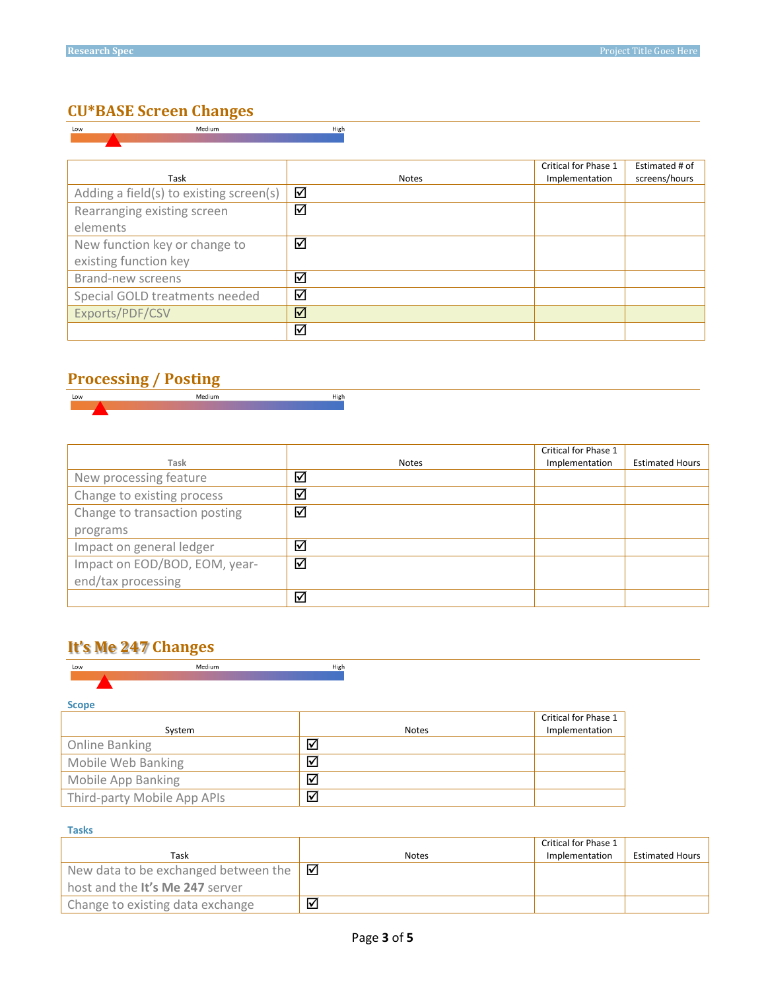# **CU\*BASE Screen Changes**

| Medium<br>Low                           | High         |                      |                |
|-----------------------------------------|--------------|----------------------|----------------|
|                                         |              |                      |                |
|                                         |              |                      |                |
|                                         |              | Critical for Phase 1 | Estimated # of |
| Task                                    | <b>Notes</b> | Implementation       | screens/hours  |
| Adding a field(s) to existing screen(s) | ☑            |                      |                |
| Rearranging existing screen             | ☑            |                      |                |
| elements                                |              |                      |                |
| New function key or change to           | ☑            |                      |                |
| existing function key                   |              |                      |                |
| Brand-new screens                       | ☑            |                      |                |
| Special GOLD treatments needed          | ☑            |                      |                |
| Exports/PDF/CSV                         | ☑            |                      |                |
|                                         | ☑            |                      |                |

# **Processing / Posting**

| Low | $\sim$ |
|-----|--------|
|     |        |
|     |        |

|                               |       | Critical for Phase 1 |                        |
|-------------------------------|-------|----------------------|------------------------|
| Task                          | Notes | Implementation       | <b>Estimated Hours</b> |
| New processing feature        | ☑     |                      |                        |
| Change to existing process    | ☑     |                      |                        |
| Change to transaction posting | ☑     |                      |                        |
| programs                      |       |                      |                        |
| Impact on general ledger      | ☑     |                      |                        |
| Impact on EOD/BOD, EOM, year- | ☑     |                      |                        |
| end/tax processing            |       |                      |                        |
|                               | ☑     |                      |                        |

# **It's Me 247 Changes**

| Low                         | Medium | High |              |                      |
|-----------------------------|--------|------|--------------|----------------------|
| <b>Scope</b>                |        |      |              |                      |
|                             |        |      |              | Critical for Phase 1 |
| System                      |        |      | <b>Notes</b> | Implementation       |
| Online Banking              |        | ☑    |              |                      |
| Mobile Web Banking          |        | ☑    |              |                      |
| Mobile App Banking          |        | ☑    |              |                      |
| Third-party Mobile App APIs |        | ☑    |              |                      |

#### **Tasks**

|                                             |              | Critical for Phase 1 |                        |
|---------------------------------------------|--------------|----------------------|------------------------|
| Task                                        | <b>Notes</b> | Implementation       | <b>Estimated Hours</b> |
| New data to be exchanged between the $\Box$ |              |                      |                        |
| host and the It's Me 247 server             |              |                      |                        |
| Change to existing data exchange            | ا⊽ا          |                      |                        |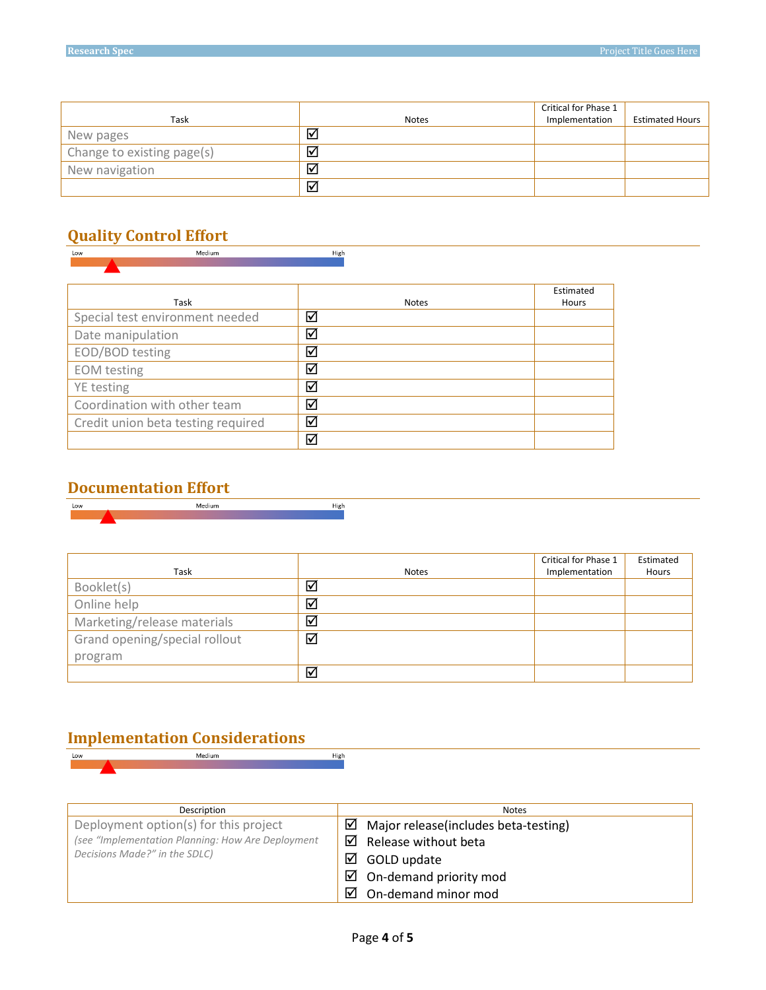|                            |                      | Critical for Phase 1 |                        |
|----------------------------|----------------------|----------------------|------------------------|
| Task                       | <b>Notes</b>         | Implementation       | <b>Estimated Hours</b> |
| New pages                  | ☑                    |                      |                        |
| Change to existing page(s) | ⊻                    |                      |                        |
| New navigation             | $\blacktriangledown$ |                      |                        |
|                            | ☑                    |                      |                        |

# **Quality Control Effort**

| Low                | Medium                             | High                 |           |
|--------------------|------------------------------------|----------------------|-----------|
|                    |                                    |                      |           |
|                    |                                    |                      | Estimated |
|                    | Task                               | <b>Notes</b>         | Hours     |
|                    | Special test environment needed    | ☑                    |           |
| Date manipulation  |                                    | ☑                    |           |
| EOD/BOD testing    |                                    | ✓                    |           |
| <b>EOM</b> testing |                                    | ✓                    |           |
| YE testing         |                                    | ☑                    |           |
|                    | Coordination with other team       | ✓                    |           |
|                    | Credit union beta testing required | $\blacktriangledown$ |           |
|                    |                                    | ⊽                    |           |



|                               |              | Critical for Phase 1 | Estimated |
|-------------------------------|--------------|----------------------|-----------|
| Task                          | <b>Notes</b> | Implementation       | Hours     |
| Booklet(s)                    | ☑            |                      |           |
| Online help                   | ☑            |                      |           |
| Marketing/release materials   | ☑            |                      |           |
| Grand opening/special rollout | ☑            |                      |           |
| program                       |              |                      |           |
|                               | ☑            |                      |           |

# **Implementation Considerations**

| Low | Medium                                       | High                                                                                                                                                                                                                                                                                                                                                                                                                                                                                                                                                                                          |
|-----|----------------------------------------------|-----------------------------------------------------------------------------------------------------------------------------------------------------------------------------------------------------------------------------------------------------------------------------------------------------------------------------------------------------------------------------------------------------------------------------------------------------------------------------------------------------------------------------------------------------------------------------------------------|
|     |                                              |                                                                                                                                                                                                                                                                                                                                                                                                                                                                                                                                                                                               |
|     |                                              |                                                                                                                                                                                                                                                                                                                                                                                                                                                                                                                                                                                               |
|     |                                              |                                                                                                                                                                                                                                                                                                                                                                                                                                                                                                                                                                                               |
|     |                                              |                                                                                                                                                                                                                                                                                                                                                                                                                                                                                                                                                                                               |
|     | Description                                  | Notes                                                                                                                                                                                                                                                                                                                                                                                                                                                                                                                                                                                         |
|     | Development and and an /a) familiate mustake | ▱<br>$\mathcal{L} = \{ \mathbf{r} \in \mathcal{L} \}$ and the set of the set of the set of the set of the set of the set of the set of the set of the set of the set of the set of the set of the set of the set of the set of the set of the set of th<br>$\mathbf{A}$ $\mathbf{A}$ $\mathbf{A}$ $\mathbf{A}$ $\mathbf{A}$ $\mathbf{A}$ $\mathbf{A}$ $\mathbf{A}$ $\mathbf{A}$ $\mathbf{A}$ $\mathbf{A}$ $\mathbf{A}$ $\mathbf{A}$ $\mathbf{A}$ $\mathbf{A}$ $\mathbf{A}$ $\mathbf{A}$ $\mathbf{A}$ $\mathbf{A}$ $\mathbf{A}$ $\mathbf{A}$ $\mathbf{A}$ $\mathbf{A}$ $\mathbf{A}$ $\mathbf{$ |

| Deployment option(s) for this project                                              |  | $\boxtimes$ Major release(includes beta-testing) |
|------------------------------------------------------------------------------------|--|--------------------------------------------------|
| (see "Implementation Planning: How Are Deployment<br>Decisions Made?" in the SDLC) |  | $\boxtimes$ Release without beta                 |
|                                                                                    |  | $\boxtimes$ GOLD update                          |
|                                                                                    |  | $\boxtimes$ On-demand priority mod               |
|                                                                                    |  | $\boxtimes$ On-demand minor mod                  |
|                                                                                    |  |                                                  |